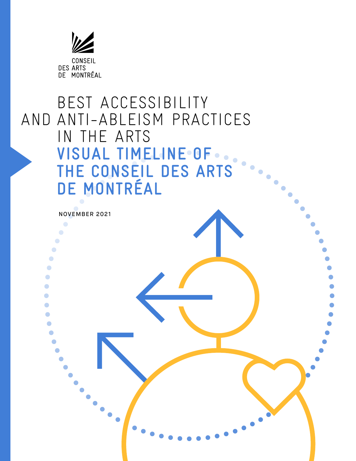

# BEST ACCESSIBILITY AND ANTI-ABLEISM PRACTICES IN THE ARTS  **VISUAL TIMELINE OF THE CONSEIL DES ARTS DE MONTRÉAL**

NOVEMBER 2021

 $\bullet$  $\bullet$  $\bullet$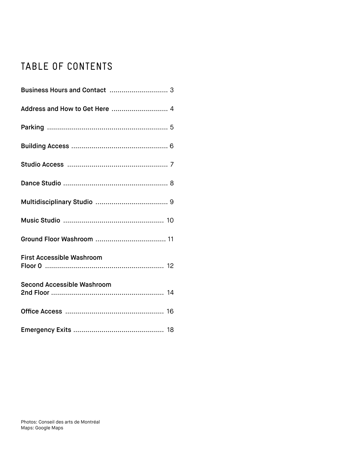# TABLE OF CONTENTS

| Address and How to Get Here  4   |
|----------------------------------|
|                                  |
|                                  |
|                                  |
|                                  |
|                                  |
|                                  |
|                                  |
| <b>First Accessible Washroom</b> |
| Second Accessible Washroom       |
|                                  |
|                                  |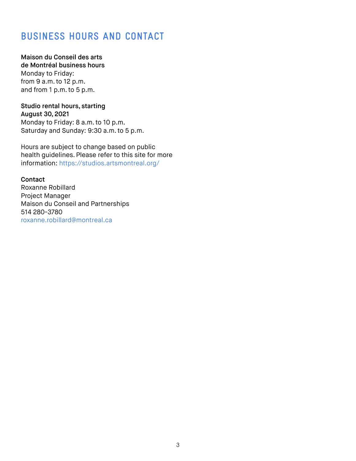#### **BUSINESS HOURS AND CONTACT**

#### Maison du Conseil des arts

de Montréal business hours Monday to Friday: from 9 a.m. to 12 p.m. and from 1 p.m. to 5 p.m.

#### Studio rental hours, starting August 30, 2021

Monday to Friday: 8 a.m. to 10 p.m. Saturday and Sunday: 9:30 a.m. to 5 p.m.

Hours are subject to change based on public health guidelines. Please refer to this site for more information: https://studios.artsmontreal.org/

#### **Contact**

Roxanne Robillard Project Manager Maison du Conseil and Partnerships 514 280-3780 roxanne.robillard@montreal.ca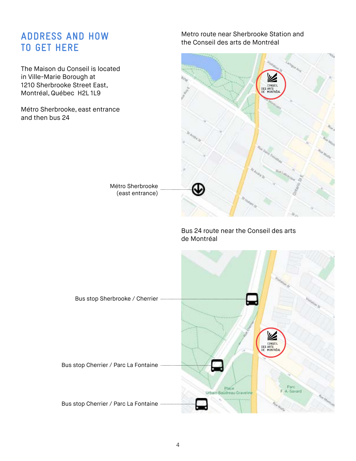#### **ADDRESS AND HOW TO GET HERE**

The Maison du Conseil is located in Ville-Marie Borough at 1210 Sherbrooke Street East, Montréal, Québec H2L 1L9

Métro Sherbrooke, east entrance and then bus 24

> Métro Sherbrooke (east entrance)

Metro route near Sherbrooke Station and the Conseil des arts de Montréal



Bus 24 route near the Conseil des arts

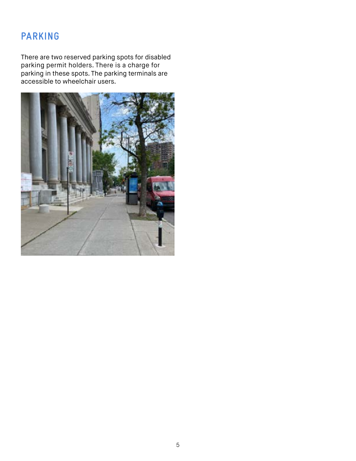#### **PARKING**

There are two reserved parking spots for disabled parking permit holders. There is a charge for parking in these spots. The parking terminals are accessible to wheelchair users.

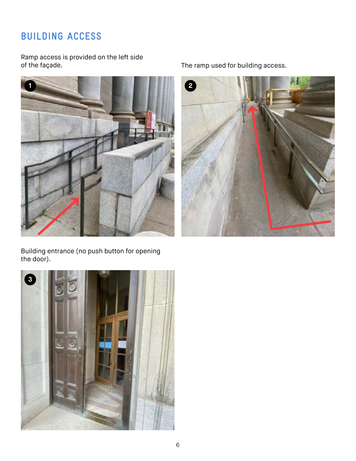# **BUILDING ACCESS**

Ramp access is provided on the left side



Building entrance (no push button for opening the door).



The ramp used for building access.

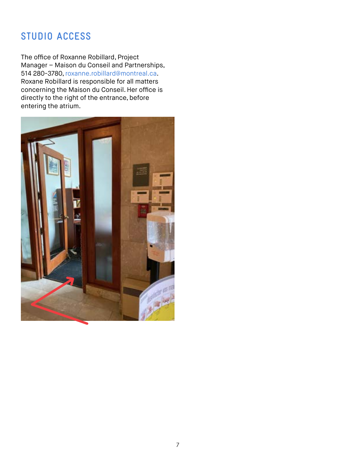## **STUDIO ACCESS**

The office of Roxanne Robillard, Project Manager – Maison du Conseil and Partnerships, 514 280-3780, roxanne.robillard@montreal.ca. Roxane Robillard is responsible for all matters concerning the Maison du Conseil. Her office is directly to the right of the entrance, before entering the atrium.

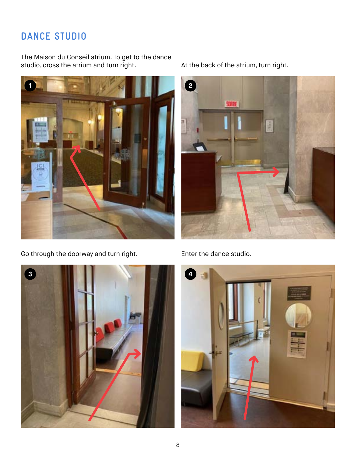### **DANCE STUDIO**

The Maison du Conseil atrium. To get to the dance studio, cross the atrium and turn right. At the back of the atrium, turn right.



Go through the doorway and turn right. Enter the dance studio.







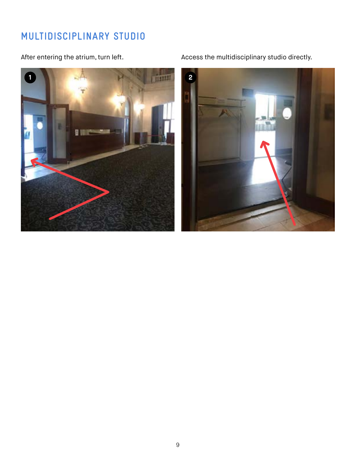#### **MULTIDISCIPLINARY STUDIO**



After entering the atrium, turn left. Access the multidisciplinary studio directly.

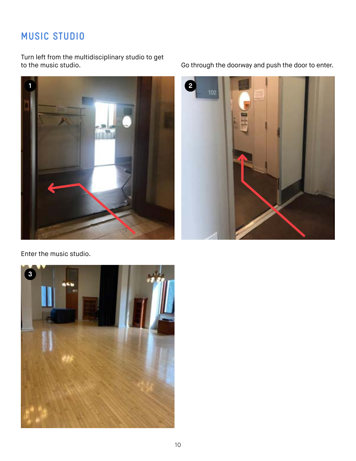# **MUSIC STUDIO**

Turn left from the multidisciplinary studio to get



Go through the doorway and push the door to enter.



Enter the music studio.

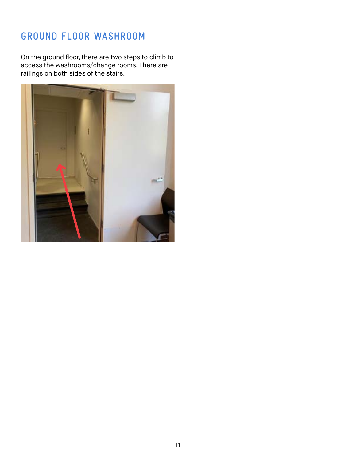#### **GROUND FLOOR WASHROOM**

On the ground floor, there are two steps to climb to access the washrooms/change rooms. There are railings on both sides of the stairs.

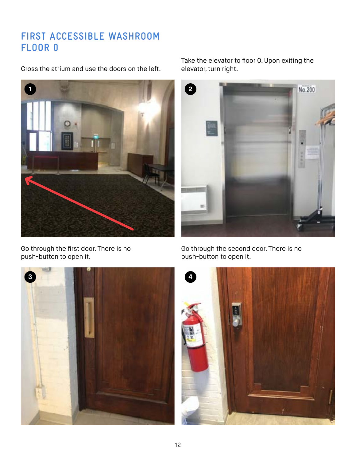### **FIRST ACCESSIBLE WASHROOM FLOOR 0**

Cross the atrium and use the doors on the left.



Go through the first door. There is no push-button to open it.

Take the elevator to floor 0. Upon exiting the elevator, turn right.



Go through the second door. There is no push-button to open it.



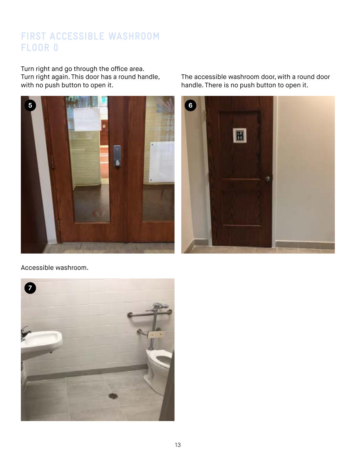# **FIRST ACCESSIBLE WASHROOM FLOOR 0**

Turn right and go through the office area. Turn right again. This door has a round handle, with no push button to open it.



Accessible washroom.



The accessible washroom door, with a round door handle. There is no push button to open it.

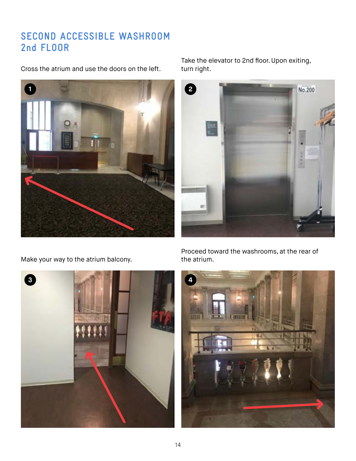## **SECOND ACCESSIBLE WASHROOM 2nd FLOOR**

Cross the atrium and use the doors on the left.



Take the elevator to 2nd floor. Upon exiting, turn right.

No.200

Make your way to the atrium balcony. The atrium.



Proceed toward the washrooms, at the rear of

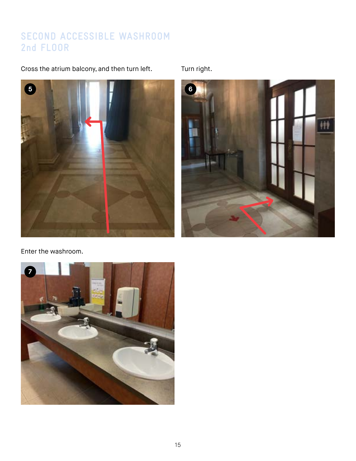# **SECOND ACCESSIBLE WASHROOM 2nd FLOOR**

Cross the atrium balcony, and then turn left. Turn right.





Enter the washroom.

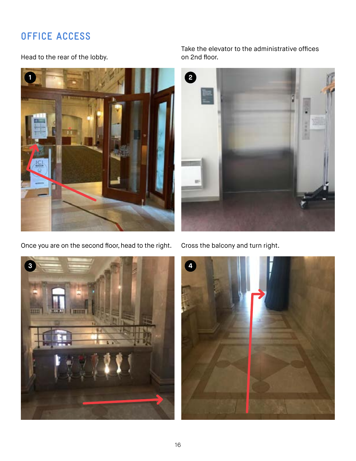# **OFFICE ACCESS**

Head to the rear of the lobby.



Once you are on the second floor, head to the right. Cross the balcony and turn right.



Take the elevator to the administrative offices on 2nd floor.



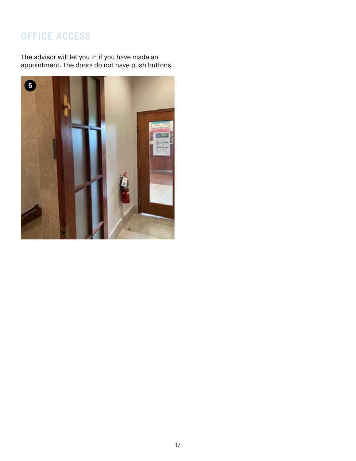# **OFFICE ACCESS**

The advisor will let you in if you have made an appointment. The doors do not have push buttons.

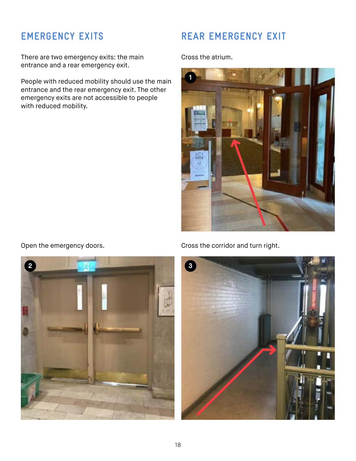### **EMERGENCY EXITS**

There are two emergency exits: the main entrance and a rear emergency exit.

People with reduced mobility should use the main entrance and the rear emergency exit. The other emergency exits are not accessible to people with reduced mobility.

#### **REAR EMERGENCY EXIT**

Cross the atrium.





Open the emergency doors. Cross the corridor and turn right.